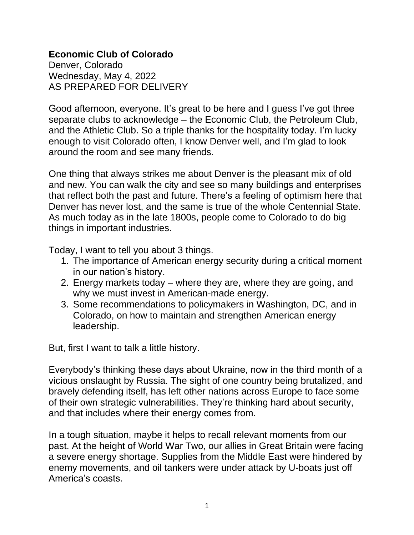## **Economic Club of Colorado**

Denver, Colorado Wednesday, May 4, 2022 AS PREPARED FOR DELIVERY

Good afternoon, everyone. It's great to be here and I guess I've got three separate clubs to acknowledge – the Economic Club, the Petroleum Club, and the Athletic Club. So a triple thanks for the hospitality today. I'm lucky enough to visit Colorado often, I know Denver well, and I'm glad to look around the room and see many friends.

One thing that always strikes me about Denver is the pleasant mix of old and new. You can walk the city and see so many buildings and enterprises that reflect both the past and future. There's a feeling of optimism here that Denver has never lost, and the same is true of the whole Centennial State. As much today as in the late 1800s, people come to Colorado to do big things in important industries.

Today, I want to tell you about 3 things.

- 1. The importance of American energy security during a critical moment in our nation's history.
- 2. Energy markets today where they are, where they are going, and why we must invest in American-made energy.
- 3. Some recommendations to policymakers in Washington, DC, and in Colorado, on how to maintain and strengthen American energy leadership.

But, first I want to talk a little history.

Everybody's thinking these days about Ukraine, now in the third month of a vicious onslaught by Russia. The sight of one country being brutalized, and bravely defending itself, has left other nations across Europe to face some of their own strategic vulnerabilities. They're thinking hard about security, and that includes where their energy comes from.

In a tough situation, maybe it helps to recall relevant moments from our past. At the height of World War Two, our allies in Great Britain were facing a severe energy shortage. Supplies from the Middle East were hindered by enemy movements, and oil tankers were under attack by U-boats just off America's coasts.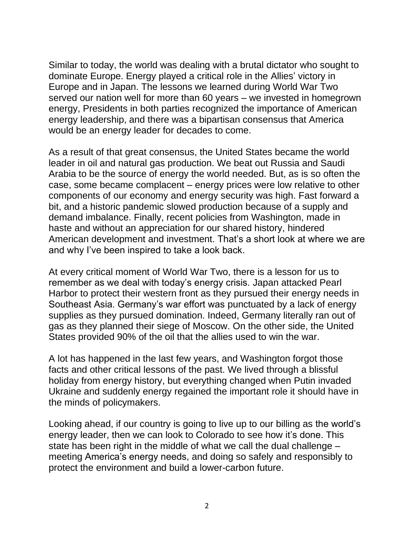Similar to today, the world was dealing with a brutal dictator who sought to dominate Europe. Energy played a critical role in the Allies' victory in Europe and in Japan. The lessons we learned during World War Two served our nation well for more than 60 years – we invested in homegrown energy, Presidents in both parties recognized the importance of American energy leadership, and there was a bipartisan consensus that America would be an energy leader for decades to come.

As a result of that great consensus, the United States became the world leader in oil and natural gas production. We beat out Russia and Saudi Arabia to be the source of energy the world needed. But, as is so often the case, some became complacent – energy prices were low relative to other components of our economy and energy security was high. Fast forward a bit, and a historic pandemic slowed production because of a supply and demand imbalance. Finally, recent policies from Washington, made in haste and without an appreciation for our shared history, hindered American development and investment. That's a short look at where we are and why I've been inspired to take a look back.

At every critical moment of World War Two, there is a lesson for us to remember as we deal with today's energy crisis. Japan attacked Pearl Harbor to protect their western front as they pursued their energy needs in Southeast Asia. Germany's war effort was punctuated by a lack of energy supplies as they pursued domination. Indeed, Germany literally ran out of gas as they planned their siege of Moscow. On the other side, the United States provided 90% of the oil that the allies used to win the war.

A lot has happened in the last few years, and Washington forgot those facts and other critical lessons of the past. We lived through a blissful holiday from energy history, but everything changed when Putin invaded Ukraine and suddenly energy regained the important role it should have in the minds of policymakers.

Looking ahead, if our country is going to live up to our billing as the world's energy leader, then we can look to Colorado to see how it's done. This state has been right in the middle of what we call the dual challenge – meeting America's energy needs, and doing so safely and responsibly to protect the environment and build a lower-carbon future.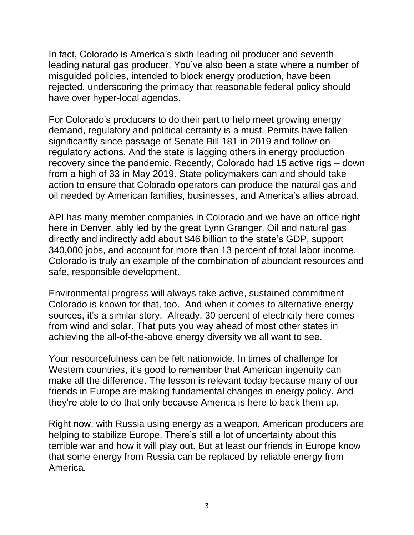In fact, Colorado is America's sixth-leading oil producer and seventhleading natural gas producer. You've also been a state where a number of misguided policies, intended to block energy production, have been rejected, underscoring the primacy that reasonable federal policy should have over hyper-local agendas.

For Colorado's producers to do their part to help meet growing energy demand, regulatory and political certainty is a must. Permits have fallen significantly since passage of Senate Bill 181 in 2019 and follow-on regulatory actions. And the state is lagging others in energy production recovery since the pandemic. Recently, Colorado had 15 active rigs – down from a high of 33 in May 2019. State policymakers can and should take action to ensure that Colorado operators can produce the natural gas and oil needed by American families, businesses, and America's allies abroad.

API has many member companies in Colorado and we have an office right here in Denver, ably led by the great Lynn Granger. Oil and natural gas directly and indirectly add about \$46 billion to the state's GDP, support 340,000 jobs, and account for more than 13 percent of total labor income. Colorado is truly an example of the combination of abundant resources and safe, responsible development.

Environmental progress will always take active, sustained commitment – Colorado is known for that, too. And when it comes to alternative energy sources, it's a similar story. Already, 30 percent of electricity here comes from wind and solar. That puts you way ahead of most other states in achieving the all-of-the-above energy diversity we all want to see.

Your resourcefulness can be felt nationwide. In times of challenge for Western countries, it's good to remember that American ingenuity can make all the difference. The lesson is relevant today because many of our friends in Europe are making fundamental changes in energy policy. And they're able to do that only because America is here to back them up.

Right now, with Russia using energy as a weapon, American producers are helping to stabilize Europe. There's still a lot of uncertainty about this terrible war and how it will play out. But at least our friends in Europe know that some energy from Russia can be replaced by reliable energy from America.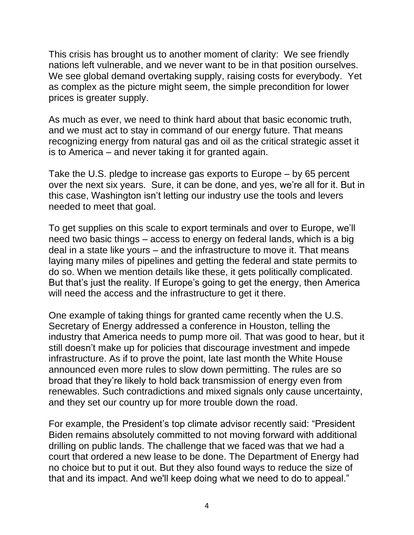This crisis has brought us to another moment of clarity: We see friendly nations left vulnerable, and we never want to be in that position ourselves. We see global demand overtaking supply, raising costs for everybody. Yet as complex as the picture might seem, the simple precondition for lower prices is greater supply.

As much as ever, we need to think hard about that basic economic truth, and we must act to stay in command of our energy future. That means recognizing energy from natural gas and oil as the critical strategic asset it is to America – and never taking it for granted again.

Take the U.S. pledge to increase gas exports to Europe – by 65 percent over the next six years. Sure, it can be done, and yes, we're all for it. But in this case, Washington isn't letting our industry use the tools and levers needed to meet that goal.

To get supplies on this scale to export terminals and over to Europe, we'll need two basic things – access to energy on federal lands, which is a big deal in a state like yours – and the infrastructure to move it. That means laying many miles of pipelines and getting the federal and state permits to do so. When we mention details like these, it gets politically complicated. But that's just the reality. If Europe's going to get the energy, then America will need the access and the infrastructure to get it there.

One example of taking things for granted came recently when the U.S. Secretary of Energy addressed a conference in Houston, telling the industry that America needs to pump more oil. That was good to hear, but it still doesn't make up for policies that discourage investment and impede infrastructure. As if to prove the point, late last month the White House announced even more rules to slow down permitting. The rules are so broad that they're likely to hold back transmission of energy even from renewables. Such contradictions and mixed signals only cause uncertainty, and they set our country up for more trouble down the road.

For example, the President's top climate advisor recently said: "President Biden remains absolutely committed to not moving forward with additional drilling on public lands. The challenge that we faced was that we had a court that ordered a new lease to be done. The Department of Energy had no choice but to put it out. But they also found ways to reduce the size of that and its impact. And we'll keep doing what we need to do to appeal."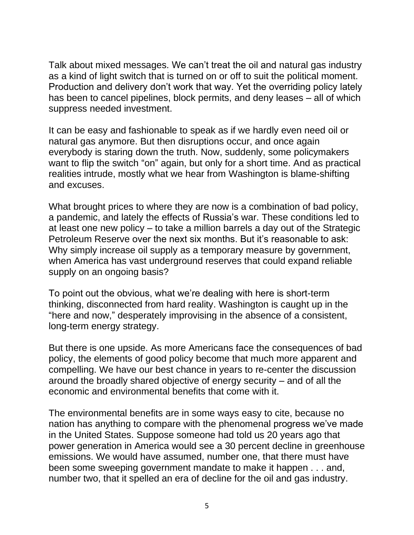Talk about mixed messages. We can't treat the oil and natural gas industry as a kind of light switch that is turned on or off to suit the political moment. Production and delivery don't work that way. Yet the overriding policy lately has been to cancel pipelines, block permits, and deny leases – all of which suppress needed investment.

It can be easy and fashionable to speak as if we hardly even need oil or natural gas anymore. But then disruptions occur, and once again everybody is staring down the truth. Now, suddenly, some policymakers want to flip the switch "on" again, but only for a short time. And as practical realities intrude, mostly what we hear from Washington is blame-shifting and excuses.

What brought prices to where they are now is a combination of bad policy, a pandemic, and lately the effects of Russia's war. These conditions led to at least one new policy – to take a million barrels a day out of the Strategic Petroleum Reserve over the next six months. But it's reasonable to ask: Why simply increase oil supply as a temporary measure by government, when America has vast underground reserves that could expand reliable supply on an ongoing basis?

To point out the obvious, what we're dealing with here is short-term thinking, disconnected from hard reality. Washington is caught up in the "here and now," desperately improvising in the absence of a consistent, long-term energy strategy.

But there is one upside. As more Americans face the consequences of bad policy, the elements of good policy become that much more apparent and compelling. We have our best chance in years to re-center the discussion around the broadly shared objective of energy security – and of all the economic and environmental benefits that come with it.

The environmental benefits are in some ways easy to cite, because no nation has anything to compare with the phenomenal progress we've made in the United States. Suppose someone had told us 20 years ago that power generation in America would see a 30 percent decline in greenhouse emissions. We would have assumed, number one, that there must have been some sweeping government mandate to make it happen . . . and, number two, that it spelled an era of decline for the oil and gas industry.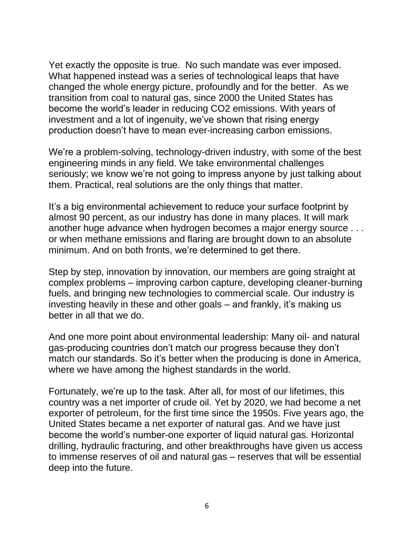Yet exactly the opposite is true. No such mandate was ever imposed. What happened instead was a series of technological leaps that have changed the whole energy picture, profoundly and for the better. As we transition from coal to natural gas, since 2000 the United States has become the world's leader in reducing CO2 emissions. With years of investment and a lot of ingenuity, we've shown that rising energy production doesn't have to mean ever-increasing carbon emissions.

We're a problem-solving, technology-driven industry, with some of the best engineering minds in any field. We take environmental challenges seriously; we know we're not going to impress anyone by just talking about them. Practical, real solutions are the only things that matter.

It's a big environmental achievement to reduce your surface footprint by almost 90 percent, as our industry has done in many places. It will mark another huge advance when hydrogen becomes a major energy source . . . or when methane emissions and flaring are brought down to an absolute minimum. And on both fronts, we're determined to get there.

Step by step, innovation by innovation, our members are going straight at complex problems – improving carbon capture, developing cleaner-burning fuels, and bringing new technologies to commercial scale. Our industry is investing heavily in these and other goals – and frankly, it's making us better in all that we do.

And one more point about environmental leadership: Many oil- and natural gas-producing countries don't match our progress because they don't match our standards. So it's better when the producing is done in America, where we have among the highest standards in the world.

Fortunately, we're up to the task. After all, for most of our lifetimes, this country was a net importer of crude oil. Yet by 2020, we had become a net exporter of petroleum, for the first time since the 1950s. Five years ago, the United States became a net exporter of natural gas. And we have just become the world's number-one exporter of liquid natural gas. Horizontal drilling, hydraulic fracturing, and other breakthroughs have given us access to immense reserves of oil and natural gas – reserves that will be essential deep into the future.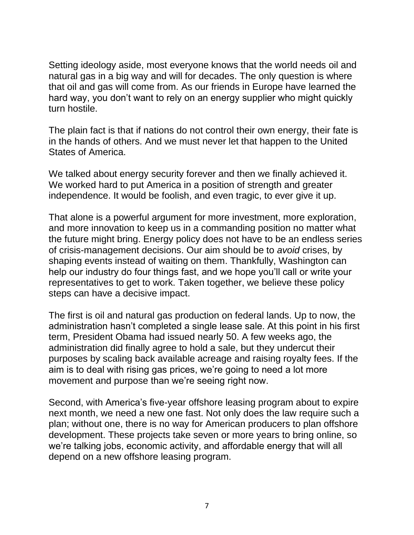Setting ideology aside, most everyone knows that the world needs oil and natural gas in a big way and will for decades. The only question is where that oil and gas will come from. As our friends in Europe have learned the hard way, you don't want to rely on an energy supplier who might quickly turn hostile.

The plain fact is that if nations do not control their own energy, their fate is in the hands of others. And we must never let that happen to the United States of America.

We talked about energy security forever and then we finally achieved it. We worked hard to put America in a position of strength and greater independence. It would be foolish, and even tragic, to ever give it up.

That alone is a powerful argument for more investment, more exploration, and more innovation to keep us in a commanding position no matter what the future might bring. Energy policy does not have to be an endless series of crisis-management decisions. Our aim should be to *avoid* crises, by shaping events instead of waiting on them. Thankfully, Washington can help our industry do four things fast, and we hope you'll call or write your representatives to get to work. Taken together, we believe these policy steps can have a decisive impact.

The first is oil and natural gas production on federal lands. Up to now, the administration hasn't completed a single lease sale. At this point in his first term, President Obama had issued nearly 50. A few weeks ago, the administration did finally agree to hold a sale, but they undercut their purposes by scaling back available acreage and raising royalty fees. If the aim is to deal with rising gas prices, we're going to need a lot more movement and purpose than we're seeing right now.

Second, with America's five-year offshore leasing program about to expire next month, we need a new one fast. Not only does the law require such a plan; without one, there is no way for American producers to plan offshore development. These projects take seven or more years to bring online, so we're talking jobs, economic activity, and affordable energy that will all depend on a new offshore leasing program.